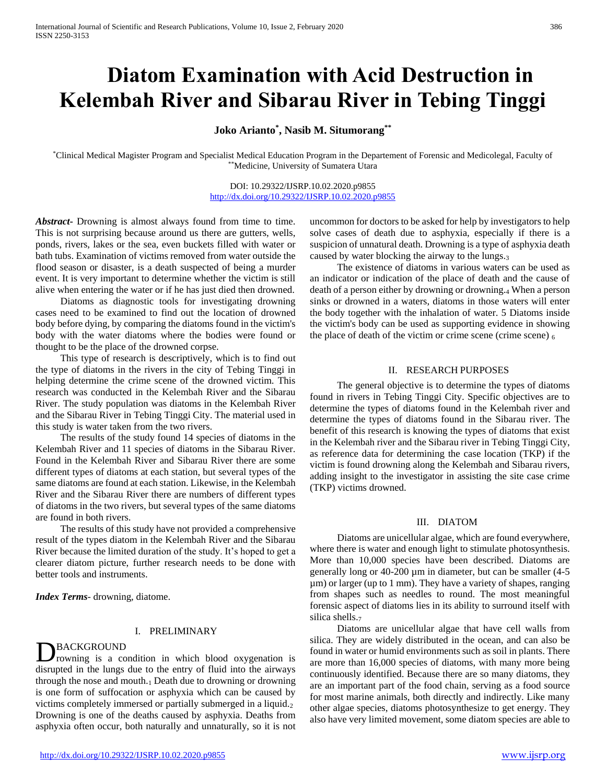# **Diatom Examination with Acid Destruction in Kelembah River and Sibarau River in Tebing Tinggi**

## **Joko Arianto\* , Nasib M. Situmorang\*\***

\*Clinical Medical Magister Program and Specialist Medical Education Program in the Departement of Forensic and Medicolegal, Faculty of \*\*Medicine, University of Sumatera Utara

> DOI: 10.29322/IJSRP.10.02.2020.p9855 <http://dx.doi.org/10.29322/IJSRP.10.02.2020.p9855>

*Abstract***-** Drowning is almost always found from time to time. This is not surprising because around us there are gutters, wells, ponds, rivers, lakes or the sea, even buckets filled with water or bath tubs. Examination of victims removed from water outside the flood season or disaster, is a death suspected of being a murder event. It is very important to determine whether the victim is still alive when entering the water or if he has just died then drowned.

 Diatoms as diagnostic tools for investigating drowning cases need to be examined to find out the location of drowned body before dying, by comparing the diatoms found in the victim's body with the water diatoms where the bodies were found or thought to be the place of the drowned corpse.

 This type of research is descriptively, which is to find out the type of diatoms in the rivers in the city of Tebing Tinggi in helping determine the crime scene of the drowned victim. This research was conducted in the Kelembah River and the Sibarau River. The study population was diatoms in the Kelembah River and the Sibarau River in Tebing Tinggi City. The material used in this study is water taken from the two rivers.

 The results of the study found 14 species of diatoms in the Kelembah River and 11 species of diatoms in the Sibarau River. Found in the Kelembah River and Sibarau River there are some different types of diatoms at each station, but several types of the same diatoms are found at each station. Likewise, in the Kelembah River and the Sibarau River there are numbers of different types of diatoms in the two rivers, but several types of the same diatoms are found in both rivers.

 The results of this study have not provided a comprehensive result of the types diatom in the Kelembah River and the Sibarau River because the limited duration of the study. It's hoped to get a clearer diatom picture, further research needs to be done with better tools and instruments.

*Index Terms*- drowning, diatome.

#### I. PRELIMINARY

## BACKGROUND

rowning is a condition in which blood oxygenation is disrupted in the lungs due to the entry of fluid into the airways through the nose and mouth. $1$  Death due to drowning or drowning is one form of suffocation or asphyxia which can be caused by victims completely immersed or partially submerged in a liquid.<sup>2</sup> Drowning is one of the deaths caused by asphyxia. Deaths from asphyxia often occur, both naturally and unnaturally, so it is not D

uncommon for doctors to be asked for help by investigators to help solve cases of death due to asphyxia, especially if there is a suspicion of unnatural death. Drowning is a type of asphyxia death caused by water blocking the airway to the lungs.<sup>3</sup>

 The existence of diatoms in various waters can be used as an indicator or indication of the place of death and the cause of death of a person either by drowning or drowning.<sup>4</sup> When a person sinks or drowned in a waters, diatoms in those waters will enter the body together with the inhalation of water. 5 Diatoms inside the victim's body can be used as supporting evidence in showing the place of death of the victim or crime scene (crime scene)  $<sub>6</sub>$ </sub>

## II. RESEARCH PURPOSES

 The general objective is to determine the types of diatoms found in rivers in Tebing Tinggi City. Specific objectives are to determine the types of diatoms found in the Kelembah river and determine the types of diatoms found in the Sibarau river. The benefit of this research is knowing the types of diatoms that exist in the Kelembah river and the Sibarau river in Tebing Tinggi City, as reference data for determining the case location (TKP) if the victim is found drowning along the Kelembah and Sibarau rivers, adding insight to the investigator in assisting the site case crime (TKP) victims drowned.

#### III. DIATOM

 Diatoms are unicellular algae, which are found everywhere, where there is water and enough light to stimulate photosynthesis. More than 10,000 species have been described. Diatoms are generally long or 40-200 µm in diameter, but can be smaller (4-5 µm) or larger (up to 1 mm). They have a variety of shapes, ranging from shapes such as needles to round. The most meaningful forensic aspect of diatoms lies in its ability to surround itself with silica shells.<sub>7</sub>

 Diatoms are unicellular algae that have cell walls from silica. They are widely distributed in the ocean, and can also be found in water or humid environments such as soil in plants. There are more than 16,000 species of diatoms, with many more being continuously identified. Because there are so many diatoms, they are an important part of the food chain, serving as a food source for most marine animals, both directly and indirectly. Like many other algae species, diatoms photosynthesize to get energy. They also have very limited movement, some diatom species are able to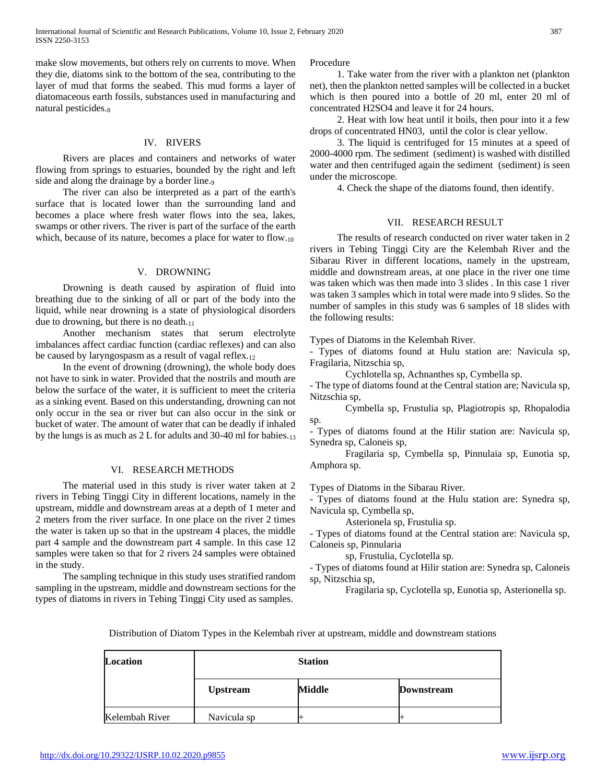make slow movements, but others rely on currents to move. When they die, diatoms sink to the bottom of the sea, contributing to the layer of mud that forms the seabed. This mud forms a layer of diatomaceous earth fossils, substances used in manufacturing and natural pesticides.<sub>8</sub>

## IV. RIVERS

 Rivers are places and containers and networks of water flowing from springs to estuaries, bounded by the right and left side and along the drainage by a border line.9

 The river can also be interpreted as a part of the earth's surface that is located lower than the surrounding land and becomes a place where fresh water flows into the sea, lakes, swamps or other rivers. The river is part of the surface of the earth which, because of its nature, becomes a place for water to flow.<sub>10</sub>

## V. DROWNING

 Drowning is death caused by aspiration of fluid into breathing due to the sinking of all or part of the body into the liquid, while near drowning is a state of physiological disorders due to drowning, but there is no death.<sup>11</sup>

 Another mechanism states that serum electrolyte imbalances affect cardiac function (cardiac reflexes) and can also be caused by laryngospasm as a result of vagal reflex.<sup>12</sup>

 In the event of drowning (drowning), the whole body does not have to sink in water. Provided that the nostrils and mouth are below the surface of the water, it is sufficient to meet the criteria as a sinking event. Based on this understanding, drowning can not only occur in the sea or river but can also occur in the sink or bucket of water. The amount of water that can be deadly if inhaled by the lungs is as much as  $2 L$  for adults and 30-40 ml for babies.<sub>13</sub>

## VI. RESEARCH METHODS

 The material used in this study is river water taken at 2 rivers in Tebing Tinggi City in different locations, namely in the upstream, middle and downstream areas at a depth of 1 meter and 2 meters from the river surface. In one place on the river 2 times the water is taken up so that in the upstream 4 places, the middle part 4 sample and the downstream part 4 sample. In this case 12 samples were taken so that for 2 rivers 24 samples were obtained in the study.

 The sampling technique in this study uses stratified random sampling in the upstream, middle and downstream sections for the types of diatoms in rivers in Tebing Tinggi City used as samples.

Procedure

 1. Take water from the river with a plankton net (plankton net), then the plankton netted samples will be collected in a bucket which is then poured into a bottle of 20 ml, enter 20 ml of concentrated H2SO4 and leave it for 24 hours.

 2. Heat with low heat until it boils, then pour into it a few drops of concentrated HN03, until the color is clear yellow.

 3. The liquid is centrifuged for 15 minutes at a speed of 2000-4000 rpm. The sediment (sediment) is washed with distilled water and then centrifuged again the sediment (sediment) is seen under the microscope.

4. Check the shape of the diatoms found, then identify.

## VII. RESEARCH RESULT

 The results of research conducted on river water taken in 2 rivers in Tebing Tinggi City are the Kelembah River and the Sibarau River in different locations, namely in the upstream, middle and downstream areas, at one place in the river one time was taken which was then made into 3 slides . In this case 1 river was taken 3 samples which in total were made into 9 slides. So the number of samples in this study was 6 samples of 18 slides with the following results:

Types of Diatoms in the Kelembah River.

- Types of diatoms found at Hulu station are: Navicula sp, Fragilaria, Nitzschia sp,

Cychlotella sp, Achnanthes sp, Cymbella sp.

- The type of diatoms found at the Central station are; Navicula sp, Nitzschia sp,

Cymbella sp, Frustulia sp, Plagiotropis sp, Rhopalodia sp.

- Types of diatoms found at the Hilir station are: Navicula sp, Synedra sp, Caloneis sp,

Fragilaria sp, Cymbella sp, Pinnulaia sp, Eunotia sp, Amphora sp.

Types of Diatoms in the Sibarau River.

- Types of diatoms found at the Hulu station are: Synedra sp, Navicula sp, Cymbella sp,

Asterionela sp, Frustulia sp.

- Types of diatoms found at the Central station are: Navicula sp, Caloneis sp, Pinnularia

sp, Frustulia, Cyclotella sp.

- Types of diatoms found at Hilir station are: Synedra sp, Caloneis sp, Nitzschia sp,

Fragilaria sp, Cyclotella sp, Eunotia sp, Asterionella sp.

Distribution of Diatom Types in the Kelembah river at upstream, middle and downstream stations

| Location       |                 | <b>Station</b> |                   |  |  |
|----------------|-----------------|----------------|-------------------|--|--|
|                | <b>Upstream</b> | Middle         | <b>Downstream</b> |  |  |
| Kelembah River | Navicula sp     |                |                   |  |  |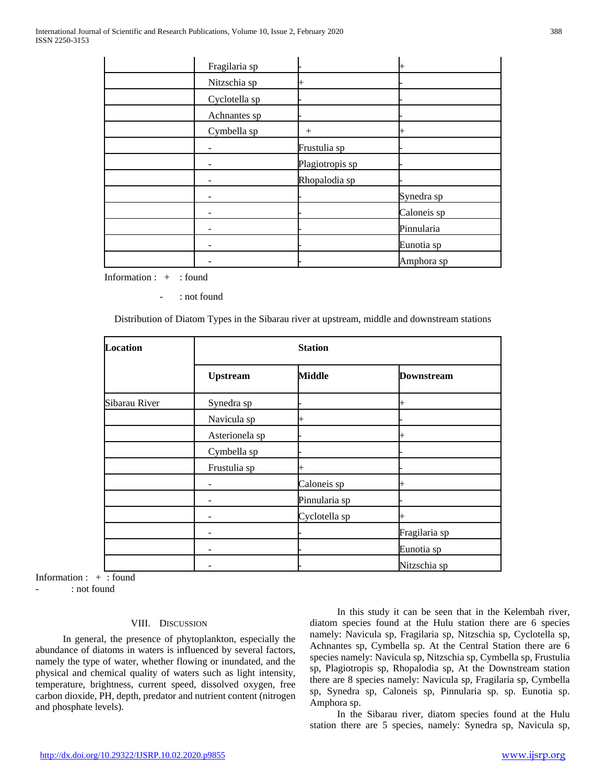| Fragilaria sp |                 | ⊬           |
|---------------|-----------------|-------------|
| Nitzschia sp  |                 |             |
| Cyclotella sp |                 |             |
| Achnantes sp  |                 |             |
| Cymbella sp   | $^{+}$          | $\pm$       |
|               | Frustulia sp    |             |
|               | Plagiotropis sp |             |
|               | Rhopalodia sp   |             |
|               |                 | Synedra sp  |
|               |                 | Caloneis sp |
|               |                 | Pinnularia  |
|               |                 | Eunotia sp  |
|               |                 | Amphora sp  |

Information : + : found

: not found

Distribution of Diatom Types in the Sibarau river at upstream, middle and downstream stations

| <b>Location</b> |                 | <b>Station</b> |                   |  |  |
|-----------------|-----------------|----------------|-------------------|--|--|
|                 | <b>Upstream</b> | <b>Middle</b>  | <b>Downstream</b> |  |  |
| Sibarau River   | Synedra sp      |                | ⊬                 |  |  |
|                 | Navicula sp     | $\overline{+}$ |                   |  |  |
|                 | Asterionela sp  |                |                   |  |  |
|                 | Cymbella sp     |                |                   |  |  |
|                 | Frustulia sp    | $\mathrm{+}$   |                   |  |  |
|                 |                 | Caloneis sp    | ┅                 |  |  |
|                 |                 | Pinnularia sp  |                   |  |  |
|                 |                 | Cyclotella sp  | ⊬                 |  |  |
|                 |                 |                | Fragilaria sp     |  |  |
|                 |                 |                | Eunotia sp        |  |  |
|                 |                 |                | Nitzschia sp      |  |  |

Information : + : found

: not found

## VIII. DISCUSSION

 In general, the presence of phytoplankton, especially the abundance of diatoms in waters is influenced by several factors, namely the type of water, whether flowing or inundated, and the physical and chemical quality of waters such as light intensity, temperature, brightness, current speed, dissolved oxygen, free carbon dioxide, PH, depth, predator and nutrient content (nitrogen and phosphate levels).

 In this study it can be seen that in the Kelembah river, diatom species found at the Hulu station there are 6 species namely: Navicula sp, Fragilaria sp, Nitzschia sp, Cyclotella sp, Achnantes sp, Cymbella sp. At the Central Station there are 6 species namely: Navicula sp, Nitzschia sp, Cymbella sp, Frustulia sp, Plagiotropis sp, Rhopalodia sp, At the Downstream station there are 8 species namely: Navicula sp, Fragilaria sp, Cymbella sp, Synedra sp, Caloneis sp, Pinnularia sp. sp. Eunotia sp. Amphora sp.

 In the Sibarau river, diatom species found at the Hulu station there are 5 species, namely: Synedra sp, Navicula sp,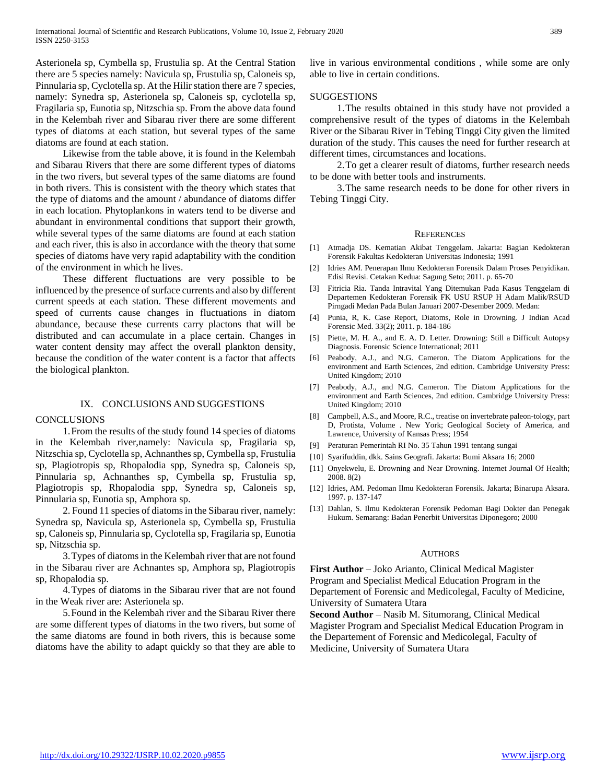Asterionela sp, Cymbella sp, Frustulia sp. At the Central Station there are 5 species namely: Navicula sp, Frustulia sp, Caloneis sp, Pinnularia sp, Cyclotella sp. At the Hilir station there are 7 species, namely: Synedra sp, Asterionela sp, Caloneis sp, cyclotella sp, Fragilaria sp, Eunotia sp, Nitzschia sp. From the above data found in the Kelembah river and Sibarau river there are some different types of diatoms at each station, but several types of the same diatoms are found at each station.

 Likewise from the table above, it is found in the Kelembah and Sibarau Rivers that there are some different types of diatoms in the two rivers, but several types of the same diatoms are found in both rivers. This is consistent with the theory which states that the type of diatoms and the amount / abundance of diatoms differ in each location. Phytoplankons in waters tend to be diverse and abundant in environmental conditions that support their growth, while several types of the same diatoms are found at each station and each river, this is also in accordance with the theory that some species of diatoms have very rapid adaptability with the condition of the environment in which he lives.

 These different fluctuations are very possible to be influenced by the presence of surface currents and also by different current speeds at each station. These different movements and speed of currents cause changes in fluctuations in diatom abundance, because these currents carry plactons that will be distributed and can accumulate in a place certain. Changes in water content density may affect the overall plankton density, because the condition of the water content is a factor that affects the biological plankton.

#### IX. CONCLUSIONS AND SUGGESTIONS

#### **CONCLUSIONS**

 1.From the results of the study found 14 species of diatoms in the Kelembah river,namely: Navicula sp, Fragilaria sp, Nitzschia sp, Cyclotella sp, Achnanthes sp, Cymbella sp, Frustulia sp, Plagiotropis sp, Rhopalodia spp, Synedra sp, Caloneis sp, Pinnularia sp, Achnanthes sp, Cymbella sp, Frustulia sp, Plagiotropis sp, Rhopalodia spp, Synedra sp, Caloneis sp, Pinnularia sp, Eunotia sp, Amphora sp.

 2. Found 11 species of diatoms in the Sibarau river, namely: Synedra sp, Navicula sp, Asterionela sp, Cymbella sp, Frustulia sp, Caloneis sp, Pinnularia sp, Cyclotella sp, Fragilaria sp, Eunotia sp, Nitzschia sp.

 3.Types of diatoms in the Kelembah river that are not found in the Sibarau river are Achnantes sp, Amphora sp, Plagiotropis sp, Rhopalodia sp.

 4.Types of diatoms in the Sibarau river that are not found in the Weak river are: Asterionela sp.

 5.Found in the Kelembah river and the Sibarau River there are some different types of diatoms in the two rivers, but some of the same diatoms are found in both rivers, this is because some diatoms have the ability to adapt quickly so that they are able to

live in various environmental conditions , while some are only able to live in certain conditions.

## **SUGGESTIONS**

 1.The results obtained in this study have not provided a comprehensive result of the types of diatoms in the Kelembah River or the Sibarau River in Tebing Tinggi City given the limited duration of the study. This causes the need for further research at different times, circumstances and locations.

 2.To get a clearer result of diatoms, further research needs to be done with better tools and instruments.

 3.The same research needs to be done for other rivers in Tebing Tinggi City.

#### **REFERENCES**

- [1] Atmadja DS. Kematian Akibat Tenggelam. Jakarta: Bagian Kedokteran Forensik Fakultas Kedokteran Universitas Indonesia; 1991
- [2] Idries AM. Penerapan Ilmu Kedokteran Forensik Dalam Proses Penyidikan. Edisi Revisi. Cetakan Kedua: Sagung Seto; 2011. p. 65-70
- [3] Fitricia Ria. Tanda Intravital Yang Ditemukan Pada Kasus Tenggelam di Departemen Kedokteran Forensik FK USU RSUP H Adam Malik/RSUD Pirngadi Medan Pada Bulan Januari 2007-Desember 2009. Medan:
- [4] Punia, R, K. Case Report, Diatoms, Role in Drowning. J Indian Acad Forensic Med. 33(2); 2011. p. 184-186
- [5] Piette, M. H. A., and E. A. D. Letter. Drowning: Still a Difficult Autopsy Diagnosis. Forensic Science International; 2011
- [6] Peabody, A.J., and N.G. Cameron. The Diatom Applications for the environment and Earth Sciences, 2nd edition. Cambridge University Press: United Kingdom; 2010
- [7] Peabody, A.J., and N.G. Cameron. The Diatom Applications for the environment and Earth Sciences, 2nd edition. Cambridge University Press: United Kingdom; 2010
- [8] Campbell, A.S., and Moore, R.C., treatise on invertebrate paleon-tology, part D, Protista, Volume . New York; Geological Society of America, and Lawrence, University of Kansas Press; 1954
- [9] Peraturan Pemerintah RI No. 35 Tahun 1991 tentang sungai
- [10] Syarifuddin, dkk. Sains Geografi. Jakarta: Bumi Aksara 16; 2000
- [11] Onyekwelu, E. Drowning and Near Drowning. Internet Journal Of Health; 2008. 8(2)
- [12] Idries, AM. Pedoman Ilmu Kedokteran Forensik. Jakarta; Binarupa Aksara. 1997. p. 137-147
- [13] Dahlan, S. Ilmu Kedokteran Forensik Pedoman Bagi Dokter dan Penegak Hukum. Semarang: Badan Penerbit Universitas Diponegoro; 2000

## **AUTHORS**

**First Author** – Joko Arianto, Clinical Medical Magister Program and Specialist Medical Education Program in the Departement of Forensic and Medicolegal, Faculty of Medicine, University of Sumatera Utara

**Second Author** – Nasib M. Situmorang, Clinical Medical Magister Program and Specialist Medical Education Program in the Departement of Forensic and Medicolegal, Faculty of Medicine, University of Sumatera Utara